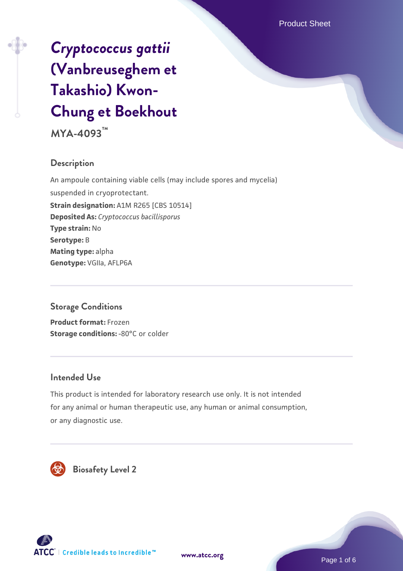# *[Cryptococcus gattii](https://www.atcc.org/products/mya-4093)* **[\(Vanbreuseghem et](https://www.atcc.org/products/mya-4093) [Takashio\) Kwon-](https://www.atcc.org/products/mya-4093)[Chung et Boekhout](https://www.atcc.org/products/mya-4093)**

**MYA-4093™**

## **Description**

An ampoule containing viable cells (may include spores and mycelia) suspended in cryoprotectant. **Strain designation:** A1M R265 [CBS 10514] **Deposited As:** *Cryptococcus bacillisporus* **Type strain:** No **Serotype:** B **Mating type:** alpha **Genotype:** VGIIa, AFLP6A

## **Storage Conditions**

**Product format:** Frozen **Storage conditions: -80°C or colder** 

## **Intended Use**

This product is intended for laboratory research use only. It is not intended for any animal or human therapeutic use, any human or animal consumption, or any diagnostic use.



 **Biosafety Level 2**





Page 1 of 6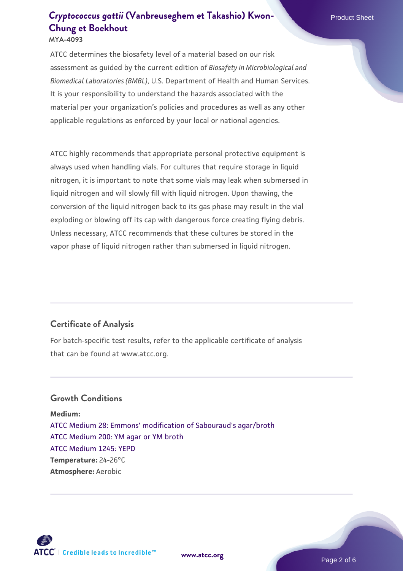ATCC determines the biosafety level of a material based on our risk assessment as guided by the current edition of *Biosafety in Microbiological and Biomedical Laboratories (BMBL)*, U.S. Department of Health and Human Services. It is your responsibility to understand the hazards associated with the material per your organization's policies and procedures as well as any other applicable regulations as enforced by your local or national agencies.

ATCC highly recommends that appropriate personal protective equipment is always used when handling vials. For cultures that require storage in liquid nitrogen, it is important to note that some vials may leak when submersed in liquid nitrogen and will slowly fill with liquid nitrogen. Upon thawing, the conversion of the liquid nitrogen back to its gas phase may result in the vial exploding or blowing off its cap with dangerous force creating flying debris. Unless necessary, ATCC recommends that these cultures be stored in the vapor phase of liquid nitrogen rather than submersed in liquid nitrogen.

## **Certificate of Analysis**

For batch-specific test results, refer to the applicable certificate of analysis that can be found at www.atcc.org.

### **Growth Conditions**

**Medium:**  [ATCC Medium 28: Emmons' modification of Sabouraud's agar/broth](https://www.atcc.org/-/media/product-assets/documents/microbial-media-formulations/2/8/atcc-medium-28.pdf?rev=0da0c58cc2a343eeae735016b70809bb) [ATCC Medium 200: YM agar or YM broth](https://www.atcc.org/-/media/product-assets/documents/microbial-media-formulations/2/0/0/atcc-medium-200.pdf?rev=ac40fd74dc13433a809367b0b9da30fc) [ATCC Medium 1245: YEPD](https://www.atcc.org/-/media/product-assets/documents/microbial-media-formulations/1/2/4/5/atcc-medium-1245.pdf?rev=705ca55d1b6f490a808a965d5c072196) **Temperature:** 24-26°C **Atmosphere:** Aerobic



**[www.atcc.org](http://www.atcc.org)**

Page 2 of 6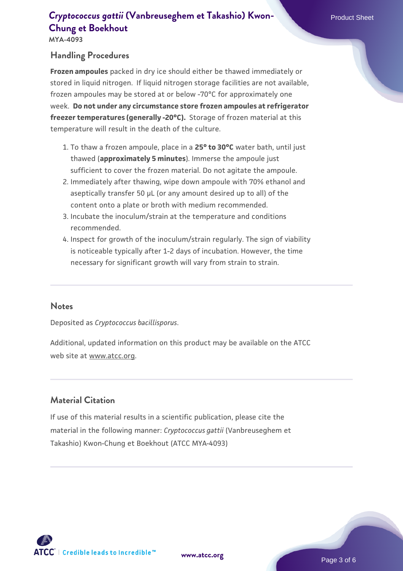# **[Cryptococcus gattii](https://www.atcc.org/products/mya-4093)** [\(Vanbreuseghem et Takashio\) Kwon-](https://www.atcc.org/products/mya-4093) Product Sheet **[Chung et Boekhout](https://www.atcc.org/products/mya-4093)**

**MYA-4093**

## **Handling Procedures**

**Frozen ampoules** packed in dry ice should either be thawed immediately or stored in liquid nitrogen. If liquid nitrogen storage facilities are not available, frozen ampoules may be stored at or below -70°C for approximately one week. **Do not under any circumstance store frozen ampoules at refrigerator freezer temperatures (generally -20°C).** Storage of frozen material at this temperature will result in the death of the culture.

- To thaw a frozen ampoule, place in a **25° to 30°C** water bath, until just 1. thawed (**approximately 5 minutes**). Immerse the ampoule just sufficient to cover the frozen material. Do not agitate the ampoule.
- 2. Immediately after thawing, wipe down ampoule with 70% ethanol and aseptically transfer 50 µL (or any amount desired up to all) of the content onto a plate or broth with medium recommended.
- Incubate the inoculum/strain at the temperature and conditions 3. recommended.
- 4. Inspect for growth of the inoculum/strain regularly. The sign of viability is noticeable typically after 1-2 days of incubation. However, the time necessary for significant growth will vary from strain to strain.

#### **Notes**

Deposited as *Cryptococcus bacillisporus*.

Additional, updated information on this product may be available on the ATCC web site at www.atcc.org.

## **Material Citation**

If use of this material results in a scientific publication, please cite the material in the following manner: *Cryptococcus gattii* (Vanbreuseghem et Takashio) Kwon-Chung et Boekhout (ATCC MYA-4093)

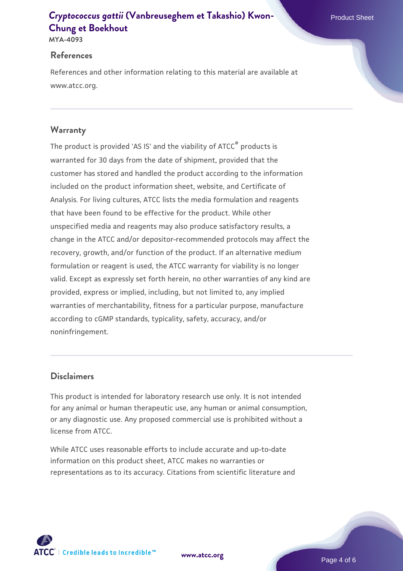# **[Cryptococcus gattii](https://www.atcc.org/products/mya-4093)** [\(Vanbreuseghem et Takashio\) Kwon-](https://www.atcc.org/products/mya-4093)**New American Product Sheet [Chung et Boekhout](https://www.atcc.org/products/mya-4093)**

**MYA-4093**

#### **References**

References and other information relating to this material are available at www.atcc.org.

## **Warranty**

The product is provided 'AS IS' and the viability of ATCC® products is warranted for 30 days from the date of shipment, provided that the customer has stored and handled the product according to the information included on the product information sheet, website, and Certificate of Analysis. For living cultures, ATCC lists the media formulation and reagents that have been found to be effective for the product. While other unspecified media and reagents may also produce satisfactory results, a change in the ATCC and/or depositor-recommended protocols may affect the recovery, growth, and/or function of the product. If an alternative medium formulation or reagent is used, the ATCC warranty for viability is no longer valid. Except as expressly set forth herein, no other warranties of any kind are provided, express or implied, including, but not limited to, any implied warranties of merchantability, fitness for a particular purpose, manufacture according to cGMP standards, typicality, safety, accuracy, and/or noninfringement.

## **Disclaimers**

This product is intended for laboratory research use only. It is not intended for any animal or human therapeutic use, any human or animal consumption, or any diagnostic use. Any proposed commercial use is prohibited without a license from ATCC.

While ATCC uses reasonable efforts to include accurate and up-to-date information on this product sheet, ATCC makes no warranties or representations as to its accuracy. Citations from scientific literature and

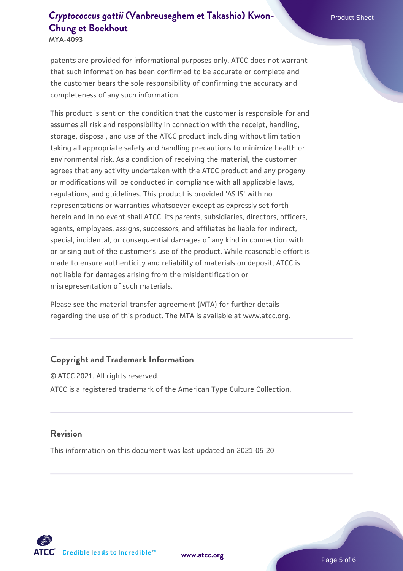# **[Cryptococcus gattii](https://www.atcc.org/products/mya-4093)** [\(Vanbreuseghem et Takashio\) Kwon-](https://www.atcc.org/products/mya-4093) **[Chung et Boekhout](https://www.atcc.org/products/mya-4093)**

**MYA-4093**

patents are provided for informational purposes only. ATCC does not warrant that such information has been confirmed to be accurate or complete and the customer bears the sole responsibility of confirming the accuracy and completeness of any such information.

This product is sent on the condition that the customer is responsible for and assumes all risk and responsibility in connection with the receipt, handling, storage, disposal, and use of the ATCC product including without limitation taking all appropriate safety and handling precautions to minimize health or environmental risk. As a condition of receiving the material, the customer agrees that any activity undertaken with the ATCC product and any progeny or modifications will be conducted in compliance with all applicable laws, regulations, and guidelines. This product is provided 'AS IS' with no representations or warranties whatsoever except as expressly set forth herein and in no event shall ATCC, its parents, subsidiaries, directors, officers, agents, employees, assigns, successors, and affiliates be liable for indirect, special, incidental, or consequential damages of any kind in connection with or arising out of the customer's use of the product. While reasonable effort is made to ensure authenticity and reliability of materials on deposit, ATCC is not liable for damages arising from the misidentification or misrepresentation of such materials.

Please see the material transfer agreement (MTA) for further details regarding the use of this product. The MTA is available at www.atcc.org.

### **Copyright and Trademark Information**

© ATCC 2021. All rights reserved. ATCC is a registered trademark of the American Type Culture Collection.

#### **Revision**

This information on this document was last updated on 2021-05-20



**[www.atcc.org](http://www.atcc.org)**